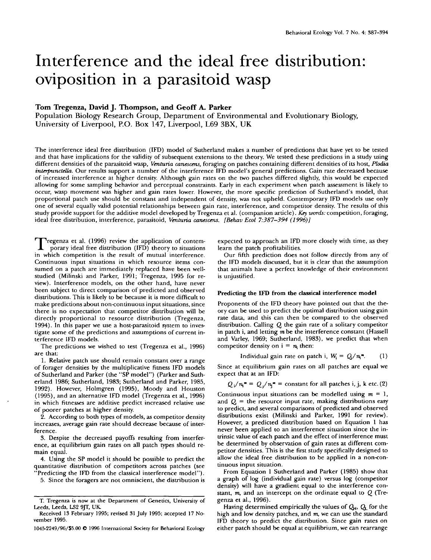# Interference and the ideal free distribution: oviposition in a parasitoid wasp

# **Tom Tregenza, David J. Thompson, and Geoff A. Parker**

Population Biology Research Group, Department of Environmental and Evolutionary Biology, University of Liverpool, P.O. Box 147, Liverpool, L69 3BX, UK

The interference ideal free distribution (IFD) model of Sutherland makes a number of predictions that have yet to be tested and that have implications for the validity of subsequent extensions to the theory. We tested these predictions in a study using different densities of the parasitoid wasp, *Venturia canescens,* foraging on patches containing different densities of its host, *Plodia interpunctella.* Our results support a number of the interference IFD model's general predictions. Gain rate decreased because of increased interference at higher density. Although gain rates on the two patches differed slighdy, this would be expected allowing for some sampling behavior and perceptual constraints. Early in each experiment when patch assessment is likely to occur, wasp movement was higher and gain rates lower. However, die more specific prediction of Sudierland's model, that proportional patch use should be constant and independent of density, was not upheld. Contemporary IFD models use only one of several equally valid potential relationships between gain rate, interference, and competitor density. The results of this study provide support for the additive model developed by Tregenza et al. (companion article). *Key words:* competition, foraging, ideal free distribution, interference, parasitoid, *Venturia canescens. [Behav Ecol 7:387—394 (1996)]*

Tregenza et al. (1996) review the application of contemporary ideal free distribution (IFD) theory to situations in which competition is the result of mutual interference. regenza et al. (1996) review the application of contemporary ideal free distribution (IFD) theory to situations Continuous input situations in which resource items consumed on a patch are immediately replaced have been wellstudied (Milinski and Parker, 1991; Tregenza, 1995 for review). Interference models, on the other hand, have never been subject to direct comparison of predicted and observed distributions. This is likely to be because it is more difficult to make predictions about non-continuous input situations, since there is no expectation that competitor distribution will be directly proportional to resource distribution (Tregenza, 1994). In this paper we use a host-parasitoid system to investigate some of the predictions and assumptions of current interference IFD models.

The predictions we wished to test (Tregenza et al., 1996) are that:

1. Relative patch use should remain constant over a range of forager densities by the multiplicative fitness IFD models of Sutherland and Parker (the "SP model") (Parker and Sutherland 1986; Sutherland, 1983; Sutherland and Parker, 1985, 1992). However, Holmgren (1995), Moody and Houston (1995), and an alternative IFD model (Tregenza et al., 1996) in which fitnesses are additive predict increased relative use of poorer patches at higher density.

2. According to both types of models, as competitor density increases, average gain rate should decrease because of interference.

3. Despite the decreased payoffs resulting from interference, at equilibrium gain rates on all patch types should remain equal.

4. Using the SP model it should be possible to predict the quantitative distribution of competitors across patches (see "Predicting the IFD from the classical interference model").

5. Since the foragers are not omniscient, the distribution is

1045-2249/96/\$5.00 © 1996 International Society for Behavioral Ecology

expected to approach an IFD more closely with time, as they learn the patch profitabilities.

Our fifth prediction does not follow directly from any of the IFD models discussed, but it is clear that the assumption that animals have a perfect knowledge of dieir environment is unjustified.

#### **Predicting the IFD from the classical interference model**

Proponents of the IFD theory have pointed out that the theory can be used to predict the optimal distribution using gain rate data, and this can then be compared to the observed distribution. Calling *Q* the gain rate of a solitary competitor in patch i, and letting  $m$  be the interference constant (Hassell and Varley, 1969; Sutherland, 1983), we predict that when competitor density on  $i = n$  then:

# Individual gain rate on patch i,  $W_i = Q/n_i$ <sup>\*</sup>*i*. (1)

Since at equilibrium gain rates on all patches are equal we expect that at an IFD:

 $Q_i/n_i = Q_i/n_i$  = constant for all patches i, j, k etc. (2)

Continuous input situations can be modelled using  $m = 1$ , and  $Q_i$  = the resource input rate, making distributions easy to predict, and several comparisons of predicted and observed distributions exist (Milinski and Parker, 1991 for review). However, a predicted distribution based on Equation 1 has never been applied to an interference situation since the intrinsic value of each patch and die effect of interference must be determined by observation of gain rates at different competitor densities. This is the first study specifically designed to allow the ideal free distribution to be applied in a non-continuous input situation.

From Equation 1 Sutherland and Parker (1985) show that a graph of log (individual gain rate) versus log (competitor density) will have a gradient equal to the interference constant, *m,* and an intercept on the ordinate equal to *Q* (Tregenza et al., 1996).

Having determined empirically the values of  $Q_H$ ,  $Q_L$  for the high and low density patches, and *m,* we can use the standard IFD theory to predict die distribution. Since gain rates on either patch should be equal at equilibrium, we can rearrange

T. Tregenza is now at the Department of Genetics, University of Leeds, Leeds, LS2 9JT, UK.

Received 13 February 1995; revised 31 July 1995; accepted 17 November 1995.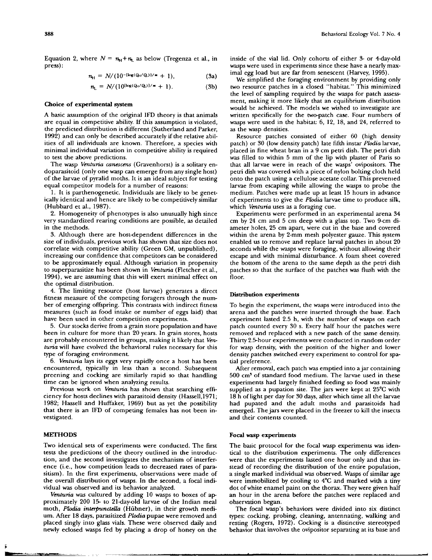Equation 2, where  $N = n_H + n_L$  as below (Tregenza et al., in press):

$$
n_{\rm H} = N/(10^{-[\log(Q_{\rm H}/Q_{\rm L})]/m} + 1), \tag{3a}
$$

$$
n_{\rm L} = N/(10^{\lfloor \log (Q_1/Q_2)/m \rfloor} + 1). \tag{3b}
$$

#### **Choice of experimental** system

A basic assumption of the original IFD theory is that animals are equal in competitive ability. If this assumption is violated, the predicted distribution is different (Sutherland and Parker, 1992) and can only be described accurately if the relative abilities of all individuals are known. Therefore, a species with minimal individual variation in competitive ability is required to test the above predictions.

The wasp *Venturia canescens* (Gravenhorst) is a solitary endoparasitoid (only one wasp can emerge from any single host) of the larvae of pyralid moths. It is an ideal subject for testing equal competitor models for a number of reasons:

1. It is parthenogenetic. Individuals are likely to be genetically identical and hence are likely to be competitively similar (Hubbard et al., 1987).

2. Homogeneity of phenotypes is also unusually high since very standardized rearing conditions are possible, as detailed in the methods.

3. Although there are host-dependent differences in the size of individuals, previous work has shown that size does not correlate with competitive ability (Green GM, unpublished), increasing our confidence that competitors can be considered to be approximately equal. Although variation in propensity to superparasitize has been shown in *Venturia* (Fletcher et al., 1994), we are assuming that this will exert minimal effect on the optimal distribution.

4. The limiting resource (host larvae) generates a direct fitness measure of the competing foragers through the number of emerging offspring. This contrasts with indirect fitness measures (such as food intake or number of eggs laid) that have been used in other competition experiments.

5. Our stocks derive from a grain store population and have been in culture for more than 20 years. In grain stores, hosts are probably encountered in groups, making it likely that *Venturia* will have evolved the behavioral rules necessary for this type of foraging environment.

6. *Venturia* lays its eggs very rapidly once a host has been encountered, typically in less than a second. Subsequent preening and cocking are similarly rapid so that handling time can be ignored when analyzing results.

Previous work on *Venturia* has shown that searching efficiency for hosts declines with parasitoid density (Hassell,1971; 1982; Hassell and Huffaker, 1969) but as yet the possibility that there is an IFD of competing females has not been investigated.

## **METHODS**

Two identical sets of experiments were conducted. The first tests the predictions of the theory outlined in the introduction, and the second investigates the mechanism of interference (i.e., how competition leads to decreased rates of parasitism). In the first experiments, observations were made of the overall distribution of wasps. In the second, a focal individual was observed and its behavior analyzed.

*Venturia* was cultured by adding 10 wasps to boxes of approximately 200 15- to 21-day-old larvae of the Indian meal moth, *Plodia interpuncteUa* (Hubner), in their growth medium. After 18 days, parasitized *Plodia* pupae were removed and placed singly into glass vials. These were observed daily and newly eclosed wasps fed by placing a drop of honey on the

inside of the vial lid. Only cohorts of either 3- or 4-day-old wasps were used in experiments since these have a nearly maximal egg load but are far from senescent (Harvey, 1995).

We simplified the foraging environment by providing only two resource patches in a closed "habitat" This minimized the level of sampling required by the wasps for patch assessment, making it more likely that an equilibrium distribution would be achieved. The models we wished to investigate are written specifically for the two-patch case. Four numbers of wasps were used in the habitat; 6, 12, 18, and 24, referred to as the wasp densities.

Resource patches consisted of either 60 (high density patch) or 30 (low density patch) late fifth instar *Plodia* larvae, placed in fine wheat bran in a 9 cm petri dish. The petri dish was filled to within 5 mm of the lip with plaster of Paris so that all larvae were in reach of the wasps' ovipositors. The petri dish was covered with a piece of nylon bolting cloth held onto the patch using a cellulose acetate collar. This prevented larvae from escaping while allowing the wasps to probe the medium. Patches were made up at least 15 hours in advance of experiments to give the *Plodia* larvae time to produce silk, which *Venturia* uses as a foraging cue.

Experiments were performed in an experimental arena 34 cm by 24 cm and 5 cm deep with a glass top. Two 9-cm diameter holes, 25 cm apart, were cut in the base and covered within the arena by 2-mm mesh polyester gauze. This system enabled us to remove and replace larval patches in about 20 seconds while the wasps were foraging, without allowing their escape and with minimal disturbance. A foam sheet covered the bottom of the arena to the same depth as the petri dish patches so that the surface of the patches was flush with the floor.

#### **Distribution experiments**

To begin the experiment, the wasps were introduced into the arena and the patches were inserted through the base. Each experiment lasted 2.5 h, with the number of wasps on each patch counted every 30 s. Every half hour the patches were removed and replaced with a new patch of the same density. Thirty 2.5-hour experiments were conducted in random order for wasp density, with the position of the higher and lower density patches switched every experiment to control for spatial preference.

After removal, each patch was emptied into ajar containing 500 cm' of standard food medium. The larvae used in these experiments had largely finished feeding so food was mainly supplied as a pupation site. The jars were kept at 25°C with 18 h of light per day for 30 days, after which time all the larvae had pupated and the adult moths and parasitoids had emerged. The jars were placed in the freezer to kill the insects and their contents counted.

#### **Focal wasp experiments**

The basic protocol for the focal wasp experiments was identical to the distribution experiments. The only differences were that the experiments lasted one hour only and that instead of recording the distribution of the entire population, a single marked individual was observed. Wasps of similar age were immobilized by cooling to 4°C and marked with a tiny dot of white enamel paint on the thorax. They were given half an hour in the arena before the patches were replaced and observation began.

The focal wasp's behaviors were divided into six distinct types: cocking, probing, cleaning, antennating, walking and resting (Rogers, 1972). Cocking is a distinctive stereotyped behavior that involves the ovipositor separating at its base and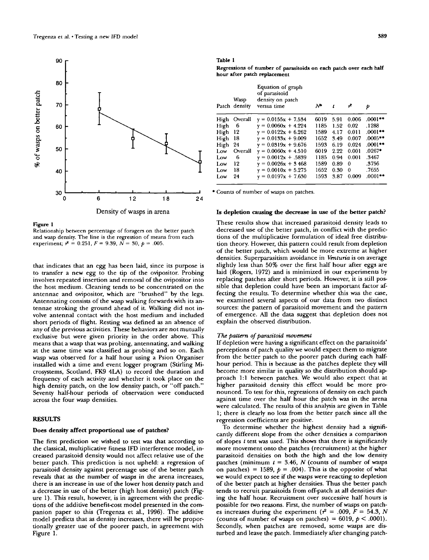

**Figure** 1

Relationship between percentage of foragers on the better patch and wasp density. The line is the regression of means from each experiment;  $r^2 = 0.251$ ,  $F = 9.39$ ,  $N = 30$ ,  $p = .005$ .

that indicates that an egg has been laid, since its purpose is to transfer a new egg to the tip of the ovipositor. Probing involves repeated insertion and removal of the ovipositor into the host medium. Cleaning tends to be concentrated on the antennae and ovipositor, which are "brushed" by the legs. Antennating consists of the wasp walking forwards with its antennae stroking the ground ahead of it Walking did not involve antennal contact with the host medium and included short periods of flight. Resting was defined as an absence of any of the previous activities. These behaviors are not mutually exclusive but were given priority in the order above. This means that a wasp that was probing, antennating, and walking at the same time was classified as probing and so on. Each wasp was observed for a half hour using a Psion Organiser installed with a time and event logger program (Stirling Microsystems, Scotland, FK9 4LA) to record the duration and frequency of each activity and whether it took place on the high density patch, on the low density patch, or "off patch." Seventy half-hour periods of observation were conducted across the four wasp densities.

## **RESULTS**

# **Does density affect proportional use of patches?**

The first prediction we wished to test was that according to the classical, multiplicative fitness IFD interference model, increased parasitoid density would not affect relative use of the better patch. This prediction is not upheld: a regression of parasitoid density against percentage use of the better patch reveals that as the number of wasps in the arena increases, there is an increase in use of the lower host density patch and a decrease in use of the better (high host density) patch (Figure 1). This result, however, is in agreement with the predictions of the additive benefit-cost model presented in the companion paper to this (Tregenza et al., 1996). The additive model predicts that as density increases, there will be proportionally greater use of the poorer patch, in agreement with Figure 1.

**Table 1**

**Regressions of number of parasitoids on each patch over each half hour after patch replacement**

|             | Waso<br>Patch density | Equation of graph<br>of parasitoid<br>density on patch<br>versus time | ۸Р   | t    | 7        | Þ          |
|-------------|-----------------------|-----------------------------------------------------------------------|------|------|----------|------------|
| High        | Overall               | $y = 0.0155x + 7.534$                                                 | 6019 | 5.91 | 0.006    | $.0001**$  |
| <b>High</b> | 6                     | $y = 0.0060x + 4.224$                                                 | 1185 | 1.52 | 0.02     | .1288      |
| High        | 12                    | $y = 0.0122x + 6.262$                                                 | 1589 | 4.17 | 0.011    | $.0001**$  |
| High        | 18                    | $v = 0.0133x + 9.009$                                                 | 1652 | 3.49 | 0.007    | $.0005***$ |
| High        | 24                    | $y = 0.0319x + 9.676$                                                 | 1593 | 6.19 | 0.024    | $.0001**$  |
| Low         | Overall               | $y = 0.0060x + 4.510$                                                 | 6019 | 2.22 | 0.001    | $.0267*$   |
| Low         | 6                     | $y = 0.0012x + .5839$                                                 | 1185 | 0.94 | 0.001    | .3467      |
| Low         | 12                    | $y = 0.0026x + 3468$                                                  | 1589 | 0.89 | $\bf{0}$ | .3756      |
| Low         | 18                    | $y = 0.0010x + 5.275$                                                 | 1652 | 0.30 | $\theta$ | .7655      |
| Low         | 24                    | $y = 0.0197x + 7.630$                                                 | 1593 | 3.87 | 0.009    | $.0001***$ |

1 Counts of number of wasps on patches.

#### **Is depletion causing the decrease in use of the better patch?**

These results show that increased parasitoid density leads to decreased use of the better patch, in conflict with the predictions of the multiplicative formulation of ideal free distribution theory. However, this pattern could result from depletion of the better patch, which would be more extreme at higher densities. Superparasitism avoidance in *Venturia* is on average slightly less than 50% over the first half hour after eggs are laid (Rogers, 1972) and is minimized in our experiments by replacing patches after short periods. However, it is still possible that depletion could have been an important factor affecting the results. To determine whether **this** was the case, we examined several aspects of our data from two distinct sources: the pattern of parasitoid movement and the pattern of emergence. All the data suggest that depletion does not explain the observed distribution.

#### *The pattern of parasitoid movement*

If depletion were having a significant effect on the parasitoids' perceptions of patch quality we would expect them to migrate from the better patch to the poorer patch during each halfhour period. This is because as the patches deplete they will become more similar in quality so the distribution should approach 1:1 between patches. We would also expect that at higher parasitoid density this effect would be more pronounced. To test for this, regressions of density on each patch against time over the half hour the patch was in the arena were calculated. The results of this analysis are given in Table 1; there is clearly no loss from the better patch since all the regression coefficients are positive.

To determine whether the highest density had a significandy different slope from the other densities a comparison of slopes *I* test was used. This shows that there is significantly more movement onto the patches (recruitment) at the higher parasitoid densities on both die high and the low density patches (minimum *t =* 3.46, *N* (counts of number of wasps on patches) = 1589,  $p = .004$ ). This is the opposite of what we would expect to see if the wasps were reacting to depletion of the better patch at higher densities. Thus the better patch tends to recruit parasitoids from off-patch at all densities during the half hour. Recruitment over successive half hours is possible for two reasons. First, the number of wasps on patches increases during the experiment ( $r^2 = .009$ ,  $F = 54.3$ , N (counts of number of wasps on patches) =  $6019$ ,  $p < .0001$ ). Secondly, when patches are removed, some wasps are disturbed and leave the patch. Immediately after changing patch-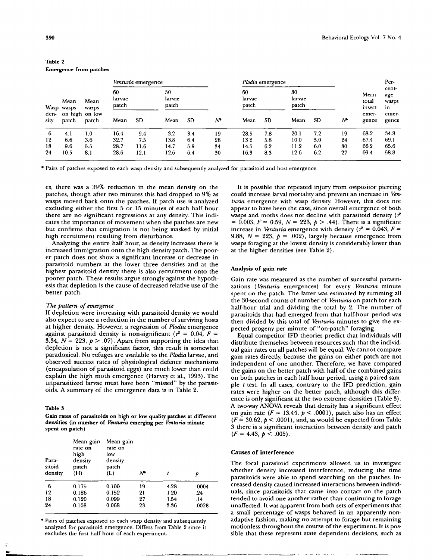| Table 2                       |  |
|-------------------------------|--|
| <b>Emergence from patches</b> |  |

|              | Mean<br>Mean<br>Wasp wasps<br>wasps<br>on high on low<br>patch<br>patch |          | Venturia emergence |           |                       |           |                       |      | Plodia emergence |                       |     |                       |                | Per-           |                         |                             |
|--------------|-------------------------------------------------------------------------|----------|--------------------|-----------|-----------------------|-----------|-----------------------|------|------------------|-----------------------|-----|-----------------------|----------------|----------------|-------------------------|-----------------------------|
|              |                                                                         |          |                    |           | 60<br>larvae<br>patch |           | 30<br>larvae<br>patch |      |                  | 60<br>larvae<br>patch |     | 30<br>larvae<br>patch |                |                | Mean<br>total<br>insect | cent-<br>age<br>wasps<br>in |
| den-<br>sity |                                                                         |          | Mean               | <b>SD</b> | Mean                  | <b>SD</b> | ٨۴                    | Mean | <b>SD</b>        | Mean                  | SD  | $N^*$                 | emer-<br>gence | emer-<br>gence |                         |                             |
| 6            | 4.1                                                                     | $_{1.0}$ | 16.4               | 9.4       | 3.2                   | 3.4       | 19                    | 28.5 | 7.8              | 20.1                  | 7.2 | 19                    | 68.2           | 34.8           |                         |                             |
| 12           | 6.6                                                                     | 3.6      | 32.7               | 7.5       | 13.8                  | 6.4       | 28                    | 132  | 5.8              | 10.0                  | 5.0 | 24                    | 67.4           | 69.1           |                         |                             |
| 18           | 9.6                                                                     | 5.5      | 28.7               | 11.6      | 14.7                  | 5.9       | 34                    | 14.5 | 6.2              | 11.2                  | 6.0 | 30                    | 66.2           | 65.6           |                         |                             |
| 24           | 10.5                                                                    | 8.1      | 28.6               | 12.1      | 12.6                  | 6.4       | 30                    | 16.3 | 8.3              | 12.6                  | 6.2 | 27                    | 69.4           | 58.8           |                         |                             |

\* Pairs of patches exposed to each wasp density and subsequently analyzed for parasitoid and host emergence.

es, there was a 39% reduction in the mean density on the patches, though after two minutes this had dropped to 9% as wasps moved back onto the patches. If patch use is analyzed excluding either the first 5 or 15 minutes of each half hour there are no significant regressions at any density. This indicates the importance of movement when the patches are new but confirms that emigration is not being masked by initial high recruitment resulting from disturbance.

Analyzing the entire half hour, as density increases there is increased immigration onto the high density patch. The poorer patch does not show a significant increase or decrease in parasitoid numbers at the lower three densities and at the highest parasitoid density there is also recruitment onto the poorer patch. These results argue strongly against the hypothesis that depletion is the cause of decreased relative use of the better patch.

#### *The pattern of emergence*

If depletion were increasing with parasitoid density we would also expect to see a reduction in the number of surviving hosts at higher density. However, a regression of *Plodia* emergence against parasitoid density is non-significant  $(r^2 = 0.04, F =$ 3.34,  $N = 223$ ,  $p > .07$ ). Apart from supporting the idea that depletion is not a significant factor, this result is somewhat paradoxical. No refuges are available to the *Plodia* larvae, and observed success rates of physiological defence mechanisms (encapsulation of parasitoid eggs) are much lower than could explain the high moth emergence (Harvey et al., 1993). The unparasitized larvae must have been "missed" by the parasitoids. A summary of the emergence data is in Table 2.

#### **Table 3**

**Gain rates of parasitoids on high or low quality patches at different densities (in number of** *Venturia* **emerging per** *Venturia* **minute spent on patch)**

| Para-<br>sitoid<br>density | Mean gain<br>rate on<br>high<br>density<br>patch<br>(H) | Mean gain<br>rate on<br>low<br>density<br>patch<br>(L) | $\mathcal{N}^*$ |      |       |
|----------------------------|---------------------------------------------------------|--------------------------------------------------------|-----------------|------|-------|
| 6                          | 0.175                                                   | 0.100                                                  | 19              | 4.28 | 0004  |
| 12                         | 0.186                                                   | 0.152                                                  | 21              | 120  | .24   |
| 18                         | 0.120                                                   | 0.099                                                  | 27              | 1.54 | .14   |
| 24                         | 0.108                                                   | 0.068                                                  | 23              | 3.36 | .0028 |

\* Pairs of patches exposed to each wasp density and subsequentl)' analyzed for parasitoid emergence. Differs from Table 2 since it excludes the first half hour of each experiment.

It is possible that repeated injury from ovipositor piercing could increase larval mortality and prevent an increase in *Ven*turia emergence with wasp density. However, this does not appear to have been the case, since overall emergence of both wasps and moths does not decline with parasitoid density  $(r^2)$ = 0.003, *F =* 0.59, *N =* 223, *p >* .44). There is a significant increase in *Venturia* emergence with density ( $r^2 = 0.043$ ,  $F =$ 9.88,  $N = 223$ ,  $p = .002$ ), largely because emergence from wasps foraging at the lowest density is considerably lower than at the higher densities (see Table 2).

# **Analysis of gain rate**

Gain rate was measured as the number of successful parasitizations *(Venturia* emergences) for every *Venturia* minute spent on the patch. The latter was estimated by summing all the 30-second counts of number of *Venturia* on patch for each half-hour trial and dividing the total by 2. The number of parasitoids that had emerged from that half-hour period was then divided by this total of *Venturia* minutes to give the expected progeny per minute of "on-patch" foraging.

Equal competitor IFD theories predict that individuals will distribute themselves between resources such that the individual gain rates on all patches will be equal. We cannot compare gain rates directly, because the gains on either patch are not independent of one another. Therefore, we have compared the gains on the better patch with half of the combined gains on both patches in each half hour period, using a paired sample *t* test. In all cases, contrary to the IFD prediction, gain rates were higher on the better patch, although this difference is only significant at the two extreme densities (Table 3). A two-way ANOVA reveals that density has a significant effect on gain rate  $(F = 13.44, p < .0001)$ , patch also has an effect  $(F = 30.62, p < .0001)$ , and, as would be expected from Table 3 there is a significant interaction between density and patch  $(F = 4.43, p \leq .005)$ .

## **Causes of interference**

The focal parasitoid experiments allowed us to investigate whether density increased interference, reducing the time parasitoids were able to spend searching on the patches. Increased density caused increased interactions between individuals, since parasitoids that came into contact on the patch tended to avoid one another rather than continuing to forage unaffected. It was apparent from both sets of experiments that a small percentage of wasps behaved in an apparendy nonadaptive fashion, making no attempt to forage but remaining motionless throughout the course of the experiment. It is possible that these represent state dependent decisions, such as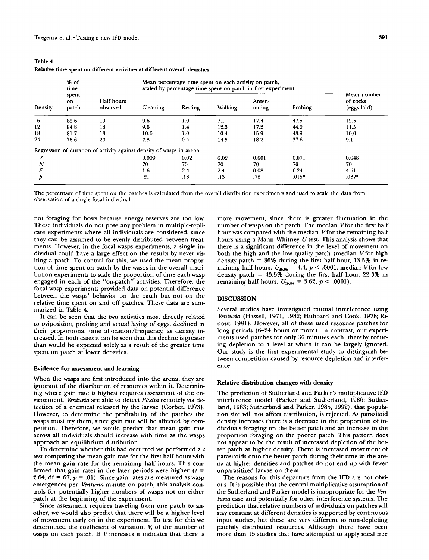| Table 4 |                                                                            |  |
|---------|----------------------------------------------------------------------------|--|
|         | Relative time spent on different activities at different overall densities |  |

| Density          | % of<br>time<br>spent<br>on.<br>patch | Half hours<br>observed                                                | Mean percentage time spent on each activity on patch,<br>scaled by percentage time spent on patch in first experiment |         |         |                  |         |                                        |
|------------------|---------------------------------------|-----------------------------------------------------------------------|-----------------------------------------------------------------------------------------------------------------------|---------|---------|------------------|---------|----------------------------------------|
|                  |                                       |                                                                       | Cleaning                                                                                                              | Resting | Walking | Anten-<br>nating | Probing | Mean number<br>of cocks<br>(eggs laid) |
| -6               | 82.6                                  | 19                                                                    | 9.6                                                                                                                   | 1.0     | 7.1     | 17.4             | 47.5    | 12.5                                   |
| 12               | 84.8                                  | 18                                                                    | 9.6                                                                                                                   | 1.4     | 12.3    | 17.2             | 44.0    | 11.5                                   |
| 18               | 81.7                                  | 13                                                                    | 10.6                                                                                                                  | 1.0     | 10.4    | 15.9             | 43.9    | 10.0                                   |
| 24               | 78.6                                  | 20                                                                    | 7.8                                                                                                                   | 0.4     | 14.5    | 18.2             | 37.6    | 9.1                                    |
|                  |                                       | Regression of duration of activity against density of wasps in arena. |                                                                                                                       |         |         |                  |         |                                        |
| ,2               |                                       |                                                                       | 0.009                                                                                                                 | 0.02    | 0.02    | 0.001            | 0.071   | 0.048                                  |
| $\boldsymbol{N}$ |                                       |                                                                       | 70                                                                                                                    | 70      | 70      | 70               | 70      | 70                                     |
|                  |                                       |                                                                       | 1.6                                                                                                                   | 2.4     | 2.4     | 0.08             | 6.24    | 4.51                                   |
|                  |                                       |                                                                       | .21                                                                                                                   | .13     | .13     | .78              | $.015*$ | $.037*$                                |

The percentage of time spent on the patches is calculated from the overall distribution experiments and used to scale the data from observation of a single focal individual.

not foraging for hosts because energy reserves are too low. These individuals do not pose any problem in multiple-replicate experiments where all individuals are considered, since they can be assumed to be evenly distributed between treatments. However, in the focal wasps experiments, a single individual could have a large effect on the results by never visiting a patch. To control for this, we used the mean proportion of time spent on patch by the wasps in the overall distribution experiments to scale the proportion of time each wasp engaged in each of the "on-patch" activities. Therefore, the focal wasp experiments provided data on potential difference between the wasps' behavior on the patch but not on the relative time spent on and off patches. These data are summarized in Table 4.

It can be seen that the two activities most directly related to oviposition, probing and actual laving of eggs, declined in their proportional time allocation/frequency, as density increased. In both cases it can be seen that this decline is greater than would be expected solely as a result of the greater time spent on patch at lower densities.

#### **Evidence for assessment and learning**

When the wasps are first introduced into the arena, they are ignorant of the distribution of resources within it. Determining where gain rate is highest requires assessment of the environment *Venturia* are able to detect *Plodia* remotely via detection of a chemical released by the larvae (Corbet, 1973). However, to determine the profitability of the patches the wasps must try them, since gain rate will be affected by competition. Therefore, we would predict that mean gain rate across all individuals should increase with time as the wasps approach an equilibrium distribution.

To determine whether this had occurred we performed a *t* test comparing the mean gain rate for the first half hours with the mean gain rate for the remaining half hours. This confirmed that gain rates in the later periods were higher *(t* = 2.64,  $df = 67$ ,  $p = .01$ ). Since gain rates are measured as wasp emergences per *Venturia* minute on patch, this analysis controls for potentially higher numbers of wasps not on either patch at the beginning of the experiment

Since assessment requires traveling from one patch to another, we would also predict that there will be a higher level of movement early on in the experiment. To test for this we determined the coefficient of variation, *V,* of the number of wasps on each patch. If V increases it indicates that there is

more movement, since there is greater fluctuation in the number of wasps on the patch. The median Vfor the first half hour was compared with the median Vfor the remaining half hours using a Mann Whitney *U* test. This analysis shows that there is a significant difference in the level of movement on both the high and the low quality patch (median  $V$  for high density patch =  $36\%$  during the first half hour,  $13.5\%$  in remaining half hours,  $U_{26,98} = 4.4, p < .0001$ ; median V for low density patch =  $43.5\%$  during the first half hour, 22.3% in remaining half hours,  $U_{25,94} = 3.62, p < .0001$ .

## **DISCUSSION**

Several studies have investigated mutual interference using *Venturia* (Hassell, 1971, 1982; Hubbard and Cook, 1978; Ridout, 1981). However, all of these used resource patches for long periods (6-24 hours or more). In contrast, our experiments used patches for only 30 minutes each, thereby reducing depletion to a level at which it can be largely ignored. Our study is the first experimental study to distinguish between competition caused by resource depletion and interference.

#### **Relative distribution changes with density**

The prediction of Sutherland and Parker's multiplicative IFD interference model (Parker and Sutherland, 1986; Sutherland, 1983; Sutherland and Parker, 1985, 1992), that population size will not affect distribution, is rejected. As parasitoid density increases there is a decrease in the proportion of individuals foraging on the better patch and an increase in the proportion foraging on the poorer patch. This pattern does not appear to be the result of increased depletion of the better patch at higher density. There is increased movement of parasitoids onto the better patch during their time in the arena at higher densities and patches do not end up widi fewer unparasitized larvae on them.

The reasons for this departure from the IFD are not obvious. It is possible that the central multiplicative assumption of the Sutherland and Parker model is inappropriate for the *Venturia* case and potentially for other interference systems. The prediction that relative numbers of individuals on patches will stay constant at different densities is supported by continuous input studies, but these are very different to non-depleting patchily distributed resources. Although there have been more than 15 studies that have attempted to apply ideal free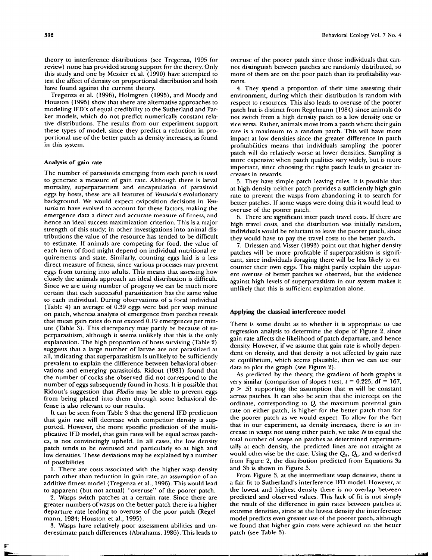theory to interference distributions (see Tregenza, 1995 for review) none has provided strong support for the theory. Only this study and one by Messier et al. (1990) have attempted to test the affect of density on proportional distribution and both have found against the current theory.

Tregenza et al. (1996), Holmgren (1995), and Moody and Houston (1995) show that there are alternative approaches to modeling IFD's of equal credibility to the Sutherland and Parker models, which do not predict numerically constant relative distributions. The results from our experiment support these types of model, since they predict a reduction in proportional use of the better patch as density increases, as found in this system.

# **Analysis of gain rate**

The number of parasitoids emerging from each patch is used to generate a measure of gain rate. Although there is larval mortality, superparasitism and encapsulation of parasitoid eggs by hosts, these are all features of *Venturia's* evolutionary background. We would expect oviposition decisions in *Venturia* to have evolved to account for these factors, making the emergence data a direct and accurate measure of fitness, and hence an ideal success maximization criterion. This is a major strength of this study, in other investigations into animal distributions the value of the resource has tended to be difficult to estimate. If animals are competing for food, the value of each item of food might depend on individual nutritional requirements and state. Similarly, counting eggs laid is a less direct measure of fitness, since various processes may prevent eggs from turning into adults. This means that assessing how closely the animals approach an ideal distribution is difficult. Since we are using number of progeny we can be much more certain that each successful parasitization has the same value to each individual. During observations of a focal individual (Table 4) an average of 0.39 eggs were laid per wasp minute on patch, whereas analysis of emergence from patches reveals that mean gain rates do not exceed 0.19 emergences per minute (Table 3). This discrepancy may partly be because of superparasitism, although it seems unlikely that this is the only explanation. The high proportion of hosts surviving (Table 2) suggests that a large number of larvae are not parasitized at all, indicating that superparasitism is unlikely to be sufficiendy prevalent to explain the difference between behavioral observations and emerging parasitoids. Ridout (1981) found that the number of cocks she observed did not correspond to the number of eggs subsequently found in hosts. It is possible that Ridout's suggestion that *Plodia* may be able to prevent eggs Ridout's suggestion that *Plodia* may be able to prevent eggs from being placed into them through some behavioral defense is also relevant to our results.

It can be seen from Table 3 that die general IFD prediction that gain rate will decrease with competitor density is supported. However, the more specific prediction of die multiplicative IFD model, diat gain rates will be equal across patches, is not convincingly upheld. In all cases, the low density patch tends to be overused and particularly so at high and low densities. These deviations may be explained by a number of possibilities.

1. There are costs associated with the higher wasp density patch other than reduction in gain rate, an assumption of an additive fitness model (Tregenza et al., 1996). This would lead to apparent (but not actual) "overuse" of the poorer patch.

2. Wasps switch patches at a certain rate. Since there are greater numbers of wasps on the better patch there is a higher departure rate leading to overuse of die poor patch (Regelmann, 1984; Houston et al., 1995).

3. Wasps have relatively poor assessment abilities and underestimate patch differences (Abrahams, 1986). This leads to overuse of the poorer patch since those individuals that cannot distinguish between patches are randomly distributed, so more of them are on the poor patch than its profitability warrants.

4. They spend a proportion of dieir time assessing their environment, during which their distribution is random with respect to resources. This also leads to overuse of the poorer patch but is distinct from Regelmann (1984) since animals do not switch from a high density patch to a low density one or vice versa. Rather, animals move from a patch where their gain rate is a maximum to a random patch. This will have more impact at low densities since the greater difference in patch profitabilities means that individuals sampling die poorer patch will do relatively worse at lower densities. Sampling is more expensive when patch qualities vary widely, but is more important, since choosing die right patch leads to greater increases in rewards.

5. They have simple patch leaving rules. It is possible that at high density neither patch provides a sufficiendy high gain rate to prevent the wasps from abandoning it to search for better patches. If some wasps were doing this it would lead to overuse of die poorer patch.

6. There are significant inter patch travel costs. If there are high travel costs, and die distribution was initially random, individuals would be reluctant to leave the poorer patch, since they would have to pay the travel costs to the better patch.

7. Driessen and Visser (1993) point out that higher density patches will be more profitable if superparasitism is significant, since individuals foraging there will be less likely to encounter their own eggs. This might partly explain the apparent overuse of better patches we observed, but the evidence against high levels of superparasitism in our system makes it unlikely that this is sufficient explanation alone.

#### **Applying the classical interference model**

There is some doubt as to whether it is appropriate to use regression analysis to determine die slope of Figure 2, since gain rate affects die likelihood of patch departure, and hence density. However, if we assume that gain rate is wholly dependent on density, and that density is not affected by gain rate at equilibrium, which seems plausible, dien we can use our data to plot die graph (see Figure 2).

As predicted by the theory, the gradient of both graphs is very similar (comparison of slopes *t* test,  $t = 0.225$ ,  $df = 167$ ,  $p > .5$ ) supporting the assumption that *m* will be constant across patches. It can also be seen diat die intercept on die ordinate, corresponding to *Q,* die maximum potential gain rate on either patch, is higher for the better patch than for the poorer patch as we would expect. To allow for the fact that in our experiment, as density increases, there is an increase in wasps not using eidier patch, we take *N10* equal the total number of wasps on patches as determined experimentally at each density, die predicted lines are not straight as would otherwise be the case. Using the  $Q_H$ ,  $Q_L$ , and *m* derived from Figure 2, die distribution predicted from Equations 3a and 3b is shown in Figure 3.

From Figure 3, at the intermediate wasp densities, there is a fair fit to Sudierland's interference IFD model. However, at the lowest and highest density there is no overlap between predicted and observed values. This lack of fit is not simply the result of the difference in gain rates between patches at extreme densities, since at the lowest density the interference model predicts even greater use of the poorer patch, although we found diat higher gain rates were achieved on die better patch (see Table 3).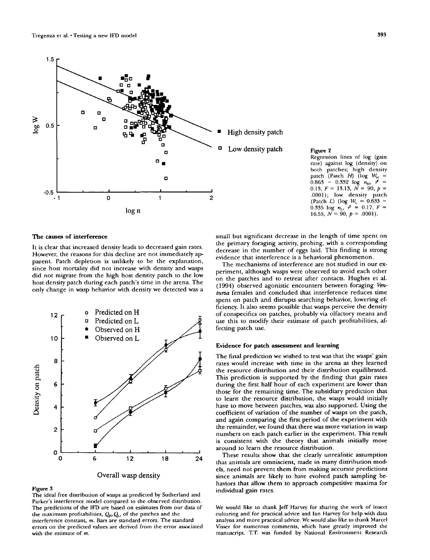

Regression lines of log (gain rate) against log (density) on both patches; high density patch (Patch H) (log  $W_H$  =  $0.863 - 0.332 \log n_H$ ,  $\tau^2$ 0.13,  $F = 13.13$ ,  $\overline{N} = 90$ ,  $p =$ .0001); low density patch (Patch *L*) (log  $W_L = 0.633 - 0.335$  log  $n_L$ ,  $r^2 = 0.17$ ,  $F =$ 16.55,  $N = 90$ ,  $p = .0001$ ).

# **The causes of interference**

It is clear that increased density leads to decreased gain rates. However, the reasons for this decline are not immediately apparent. Patch depletion is unlikely to be the explanation, since host mortality did not increase with density and wasps did not migrate from the high host density patch to the low host density patch during each patch's time in the arena. The only change in wasp behavior with density we detected was a



#### **Figure 3**

The ideal free distribution of wasps as predicted by Sutherland and Parker's interference model compared to the observed distribution. The predictions of the IFD are based on estimates from our data of the maximum profitabilities,  $Q_H, Q_J$ , of the patches and the interference constant, *m.* Bars are standard errors. The standard errors on the predicted values are derived from the error associated with the estimate of *m.*

small but significant decrease in the length of time spent on the primary foraging activity, probing, with a corresponding decrease in the number of eggs laid. This finding is strong evidence that interference is a behavioral phenomenon.

The mechanisms of interference are not studied in our experiment, although wasps were observed to avoid each other on the patches and to retreat after contacts. Hughes et al. (1994) observed agonistic encounters between foraging *Venturia* females and concluded that interference reduces time spent on patch and disrupts searching behavior, lowering efficiency. It also seems possible that wasps perceive the density of conspecifics on patches, probably via olfactory means and use this to modify their estimate of patch profitabilities, affecting patch use.

# **Evidence for patch assessment and learning**

The final prediction we wished to test was that the wasps' gain rates would increase with time in the arena as they learned the resource distribution and their distribution equilibrated. This prediction is supported by the finding that gain rates during the first half hour of each experiment are lower than those for the remaining time. The subsidiary prediction that to learn the resource distribution, the wasps would initially have to move between patches, was also supported. Using die coefficient of variation of the number of wasps on the patch, and again comparing the first period of the experiment with the remainder, we found that there was more variation in wasp numbers on each patch earlier in the experiment. This result is consistent with the theory that animals initially move around to learn die resource distribution.

These results show that the clearly unrealistic assumption that animals are omniscient, made in many distribution models, need not prevent them from making accurate predictions since animals are likely to have evolved patch sampling behaviors that allow them to approach competitive maxima for individual gain rates.

We would like to thank Jeff Harvey for sharing the work of insect culturing and for practical advice and Ian Harvey for help with data analysis and more practical advice. We would also like to thank Marcel Visser for numerous comments, which have greatly improved the manuscript. T.T. was funded by National Environment Research